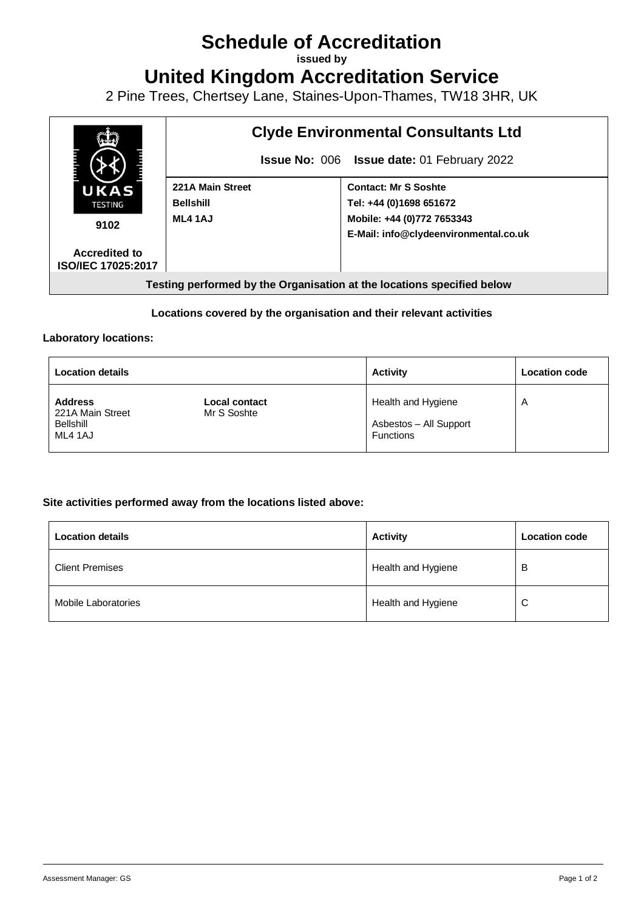# **Schedule of Accreditation**

**issued by**

**United Kingdom Accreditation Service**

2 Pine Trees, Chertsey Lane, Staines-Upon-Thames, TW18 3HR, UK



## **Locations covered by the organisation and their relevant activities**

#### **Laboratory locations:**

| <b>Location details</b>                                           |                              | <b>Activity</b>                                                  | <b>Location code</b>    |
|-------------------------------------------------------------------|------------------------------|------------------------------------------------------------------|-------------------------|
| <b>Address</b><br>221A Main Street<br><b>Bellshill</b><br>ML4 1AJ | Local contact<br>Mr S Soshte | Health and Hygiene<br>Asbestos - All Support<br><b>Functions</b> | $\overline{\mathsf{A}}$ |

### **Site activities performed away from the locations listed above:**

| <b>Location details</b> | <b>Activity</b>    | <b>Location code</b> |
|-------------------------|--------------------|----------------------|
| <b>Client Premises</b>  | Health and Hygiene | В                    |
| Mobile Laboratories     | Health and Hygiene | C                    |